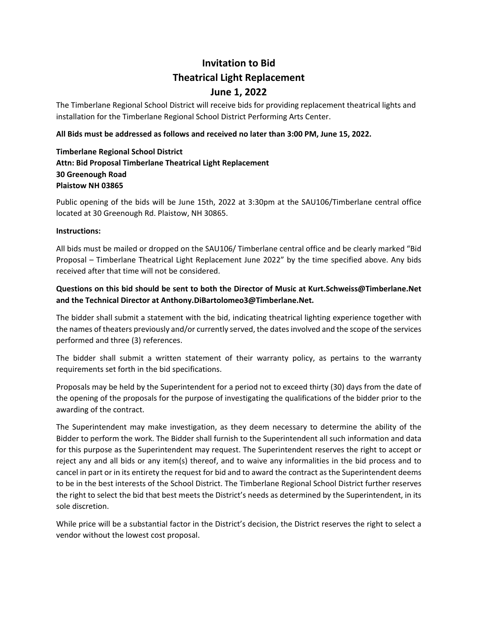# **Invitation to Bid Theatrical Light Replacement**

# **June 1, 2022**

The Timberlane Regional School District will receive bids for providing replacement theatrical lights and installation for the Timberlane Regional School District Performing Arts Center.

#### **All Bids must be addressed as follows and received no later than 3:00 PM, June 15, 2022.**

## **Timberlane Regional School District Attn: Bid Proposal Timberlane Theatrical Light Replacement 30 Greenough Road Plaistow NH 03865**

Public opening of the bids will be June 15th, 2022 at 3:30pm at the SAU106/Timberlane central office located at 30 Greenough Rd. Plaistow, NH 30865.

#### **Instructions:**

All bids must be mailed or dropped on the SAU106/ Timberlane central office and be clearly marked "Bid Proposal – Timberlane Theatrical Light Replacement June 2022" by the time specified above. Any bids received after that time will not be considered.

## **Questions on this bid should be sent to both the Director of Music at Kurt.Schweiss@Timberlane.Net and the Technical Director at Anthony.DiBartolomeo3@Timberlane.Net.**

The bidder shall submit a statement with the bid, indicating theatrical lighting experience together with the names of theaters previously and/or currently served, the datesinvolved and the scope of the services performed and three (3) references.

The bidder shall submit a written statement of their warranty policy, as pertains to the warranty requirements set forth in the bid specifications.

Proposals may be held by the Superintendent for a period not to exceed thirty (30) days from the date of the opening of the proposals for the purpose of investigating the qualifications of the bidder prior to the awarding of the contract.

The Superintendent may make investigation, as they deem necessary to determine the ability of the Bidder to perform the work. The Bidder shall furnish to the Superintendent all such information and data for this purpose as the Superintendent may request. The Superintendent reserves the right to accept or reject any and all bids or any item(s) thereof, and to waive any informalities in the bid process and to cancel in part or in its entirety the request for bid and to award the contract as the Superintendent deems to be in the best interests of the School District. The Timberlane Regional School District further reserves the right to select the bid that best meets the District's needs as determined by the Superintendent, in its sole discretion.

While price will be a substantial factor in the District's decision, the District reserves the right to select a vendor without the lowest cost proposal.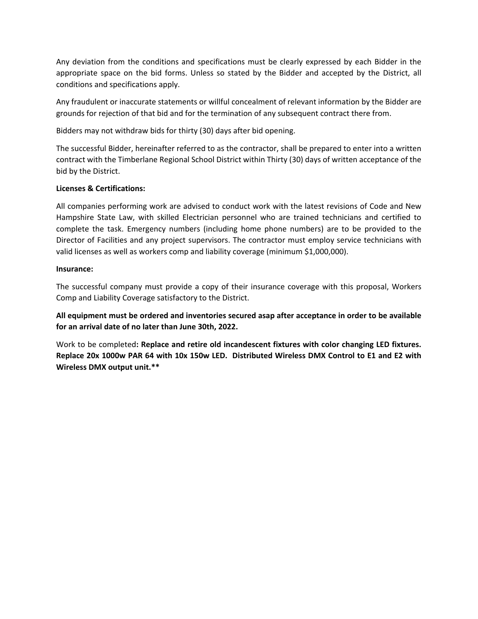Any deviation from the conditions and specifications must be clearly expressed by each Bidder in the appropriate space on the bid forms. Unless so stated by the Bidder and accepted by the District, all conditions and specifications apply.

Any fraudulent or inaccurate statements or willful concealment of relevant information by the Bidder are grounds for rejection of that bid and for the termination of any subsequent contract there from.

Bidders may not withdraw bids for thirty (30) days after bid opening.

The successful Bidder, hereinafter referred to as the contractor, shall be prepared to enter into a written contract with the Timberlane Regional School District within Thirty (30) days of written acceptance of the bid by the District.

#### **Licenses & Certifications:**

All companies performing work are advised to conduct work with the latest revisions of Code and New Hampshire State Law, with skilled Electrician personnel who are trained technicians and certified to complete the task. Emergency numbers (including home phone numbers) are to be provided to the Director of Facilities and any project supervisors. The contractor must employ service technicians with valid licenses as well as workers comp and liability coverage (minimum \$1,000,000).

#### **Insurance:**

The successful company must provide a copy of their insurance coverage with this proposal, Workers Comp and Liability Coverage satisfactory to the District.

**All equipment must be ordered and inventories secured asap after acceptance in order to be available for an arrival date of no later than June 30th, 2022.**

Work to be completed**: Replace and retire old incandescent fixtures with color changing LED fixtures.**  Replace 20x 1000w PAR 64 with 10x 150w LED. Distributed Wireless DMX Control to E1 and E2 with **Wireless DMX output unit.\*\***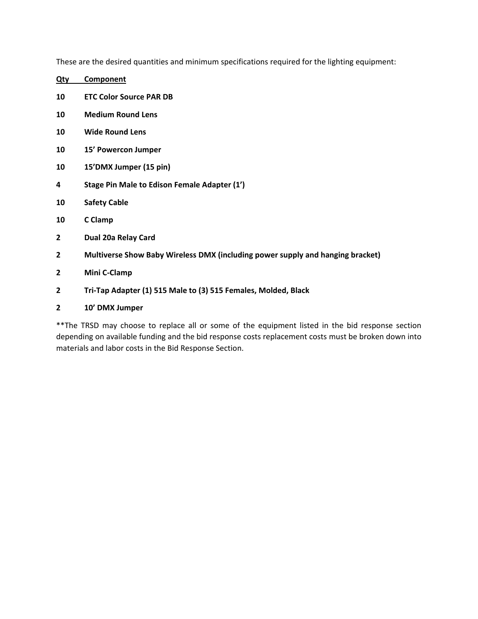These are the desired quantities and minimum specifications required for the lighting equipment:

| <u>Qty</u> | <b>Component</b>                                                               |
|------------|--------------------------------------------------------------------------------|
| 10         | <b>ETC Color Source PAR DB</b>                                                 |
| 10         | <b>Medium Round Lens</b>                                                       |
| 10         | <b>Wide Round Lens</b>                                                         |
| 10         | 15' Powercon Jumper                                                            |
| 10         | 15'DMX Jumper (15 pin)                                                         |
| 4          | Stage Pin Male to Edison Female Adapter (1')                                   |
| 10         | <b>Safety Cable</b>                                                            |
| 10         | C Clamp                                                                        |
| 2          | Dual 20a Relay Card                                                            |
| 2          | Multiverse Show Baby Wireless DMX (including power supply and hanging bracket) |
| 2          | Mini C-Clamp                                                                   |
| 2          | Tri-Tap Adapter (1) 515 Male to (3) 515 Females, Molded, Black                 |
| 2          | 10' DMX Jumper                                                                 |

\*\*The TRSD may choose to replace all or some of the equipment listed in the bid response section depending on available funding and the bid response costs replacement costs must be broken down into materials and labor costs in the Bid Response Section.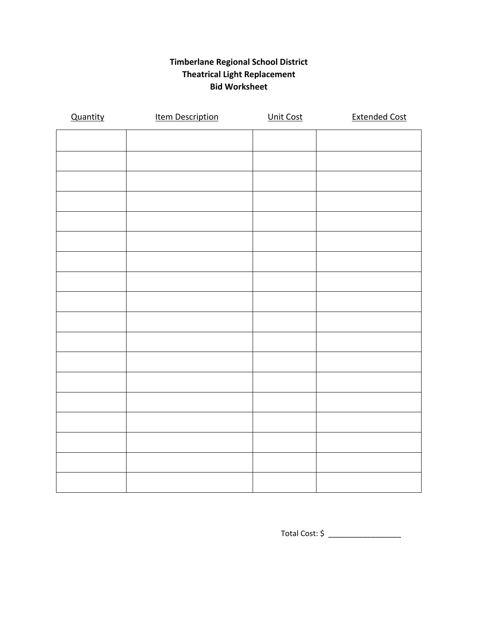## **Timberlane Regional School District Theatrical Light Replacement Bid Worksheet**

| Quantity | <b>Item Description</b> | Unit Cost | <b>Extended Cost</b> |
|----------|-------------------------|-----------|----------------------|
|          |                         |           |                      |
|          |                         |           |                      |
|          |                         |           |                      |
|          |                         |           |                      |
|          |                         |           |                      |
|          |                         |           |                      |
|          |                         |           |                      |
|          |                         |           |                      |
|          |                         |           |                      |
|          |                         |           |                      |
|          |                         |           |                      |
|          |                         |           |                      |
|          |                         |           |                      |
|          |                         |           |                      |
|          |                         |           |                      |
|          |                         |           |                      |
|          |                         |           |                      |
|          |                         |           |                      |

Total Cost: \$ \_\_\_\_\_\_\_\_\_\_\_\_\_\_\_\_\_